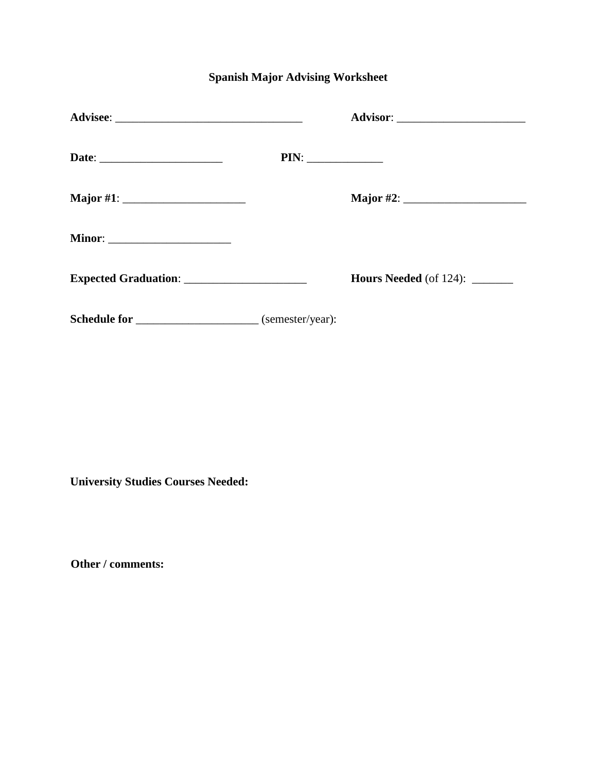## **Spanish Major Advising Worksheet**

|                                                              | PIN: |                                       |
|--------------------------------------------------------------|------|---------------------------------------|
|                                                              |      |                                       |
| <b>Minor:</b> ________________________                       |      |                                       |
|                                                              |      | <b>Hours Needed</b> (of 124): _______ |
| Schedule for ______________________________ (semester/year): |      |                                       |

**University Studies Courses Needed:** 

**Other / comments:**